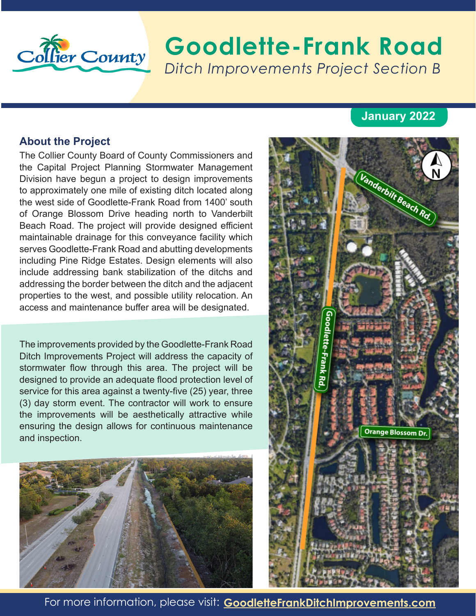

# Collier County **Goodlette-Frank Road** *Ditch Improvements Project Section B*

### **January 2022**

#### **About the Project**

The Collier County Board of County Commissioners and the Capital Project Planning Stormwater Management Division have begun a project to design improvements to approximately one mile of existing ditch located along the west side of Goodlette-Frank Road from 1400' south of Orange Blossom Drive heading north to Vanderbilt Beach Road. The project will provide designed efficient maintainable drainage for this conveyance facility which serves Goodlette-Frank Road and abutting developments including Pine Ridge Estates. Design elements will also include addressing bank stabilization of the ditchs and addressing the border between the ditch and the adjacent properties to the west, and possible utility relocation. An access and maintenance buffer area will be designated.

The improvements provided by the Goodlette-Frank Road Ditch Improvements Project will address the capacity of stormwater flow through this area. The project will be designed to provide an adequate flood protection level of service for this area against a twenty-five (25) year, three (3) day storm event. The contractor will work to ensure the improvements will be aesthetically attractive while ensuring the design allows for continuous maintenance and inspection.





For more information, please visit: **GoodletteFrankDitchImprovements.com**